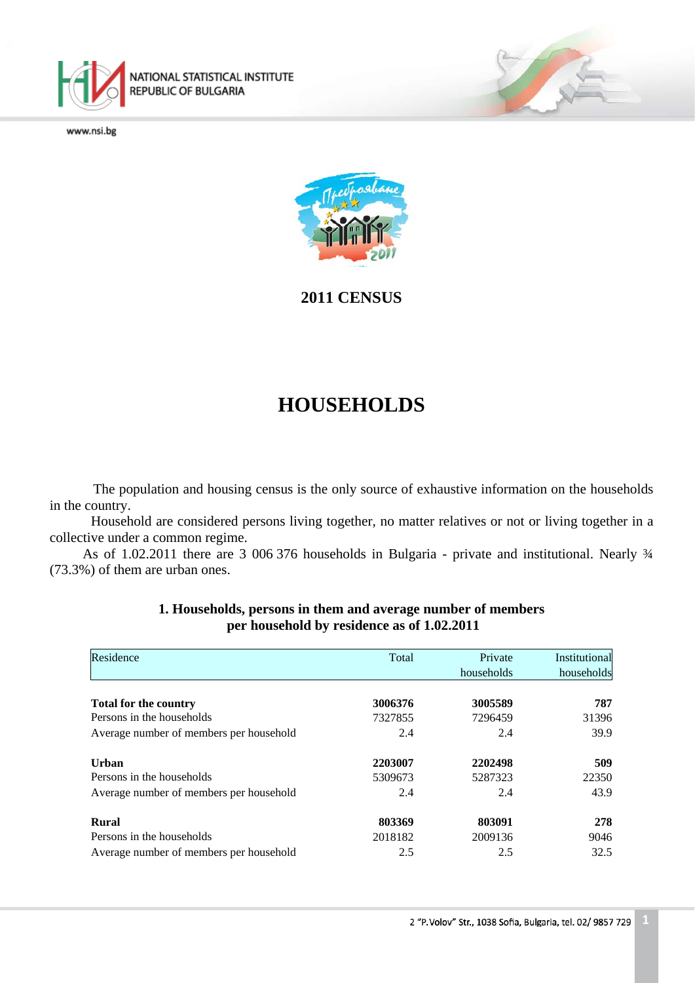

NATIONAL STATISTICAL INSTITUTE **REPUBLIC OF BULGARIA** 

www.nsi.bg



**2011 CENSUS**

# **HOUSEHOLDS**

The population and housing census is the only source of exhaustive information on the households in the country.

Household are considered persons living together, no matter relatives or not or living together in a collective under a common regime.

As of 1.02.2011 there are 3 006 376 households in Bulgaria - private and institutional. Nearly ¾ (73.3%) of them are urban ones.

<span id="page-0-0"></span>

| Residence                               | Total   | Private    | Institutional |
|-----------------------------------------|---------|------------|---------------|
|                                         |         | households | households    |
| <b>Total for the country</b>            | 3006376 | 3005589    | 787           |
| Persons in the households               | 7327855 | 7296459    | 31396         |
| Average number of members per household | 2.4     | 2.4        | 39.9          |
| Urban                                   | 2203007 | 2202498    | 509           |
| Persons in the households               | 5309673 | 5287323    | 22350         |
| Average number of members per household | 2.4     | 2.4        | 43.9          |
| <b>Rural</b>                            | 803369  | 803091     | 278           |
| Persons in the households               | 2018182 | 2009136    | 9046          |
| Average number of members per household | 2.5     | 2.5        | 32.5          |

### **1. Households, persons in them and average number of members per household by residence as of 1.02.2011**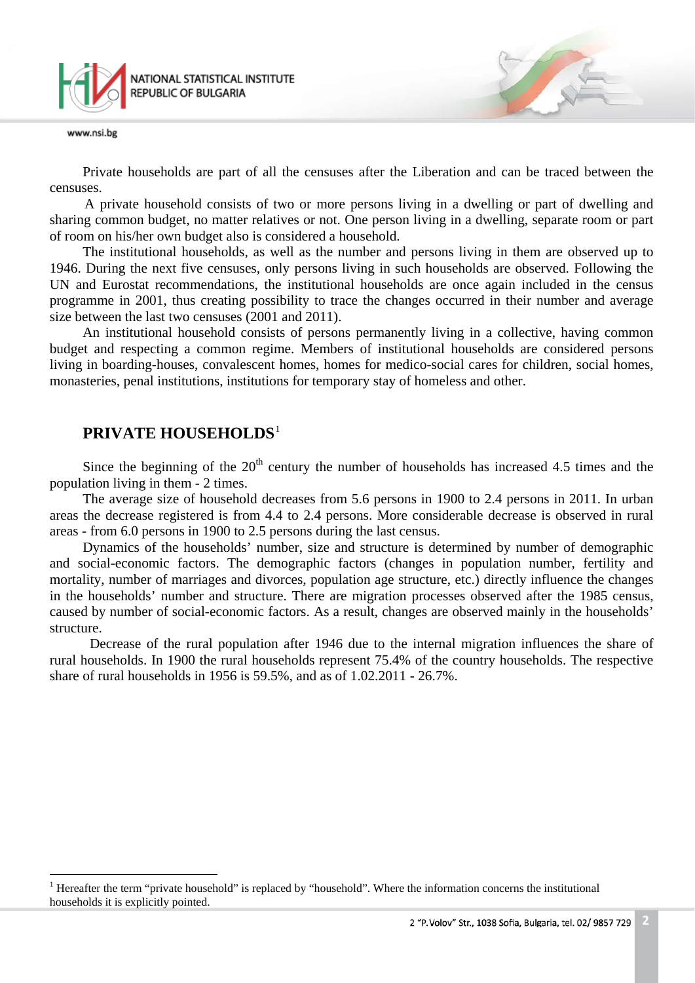

 $\frac{1}{\sqrt{2}}$ 

Private households are part of all the censuses after the Liberation and can be traced between the censuses.

A private household consists of two or more persons living in a dwelling or part of dwelling and sharing common budget, no matter relatives or not. One person living in a dwelling, separate room or part of room on his/her own budget also is considered a household.

The institutional households, as well as the number and persons living in them are observed up to 1946. During the next five censuses, only persons living in such households are observed. Following the UN and Eurostat recommendations, the institutional households are once again included in the census programme in 2001, thus creating possibility to trace the changes occurred in their number and average size between the last two censuses (2001 and 2011).

An institutional household consists of persons permanently living in a collective, having common budget and respecting a common regime. Members of institutional households are considered persons living in boarding-houses, convalescent homes, homes for medico-social cares for children, social homes, monasteries, penal institutions, institutions for temporary stay of homeless and other.

# **PRIVATE HOUSEHOLDS**[1](#page-0-0)

Since the beginning of the  $20<sup>th</sup>$  century the number of households has increased 4.5 times and the population living in them - 2 times.

The average size of household decreases from 5.6 persons in 1900 to 2.4 persons in 2011. In urban areas the decrease registered is from 4.4 to 2.4 persons. More considerable decrease is observed in rural areas - from 6.0 persons in 1900 to 2.5 persons during the last census.

Dynamics of the households' number, size and structure is determined by number of demographic and social-economic factors. The demographic factors (changes in population number, fertility and mortality, number of marriages and divorces, population age structure, etc.) directly influence the changes in the households' number and structure. There are migration processes observed after the 1985 census, caused by number of social-economic factors. As a result, changes are observed mainly in the households' structure.

 Decrease of the rural population after 1946 due to the internal migration influences the share of rural households. In 1900 the rural households represent 75.4% of the country households. The respective share of rural households in 1956 is 59.5%, and as of 1.02.2011 - 26.7%.

 $1$  Hereafter the term "private household" is replaced by "household". Where the information concerns the institutional households it is explicitly pointed.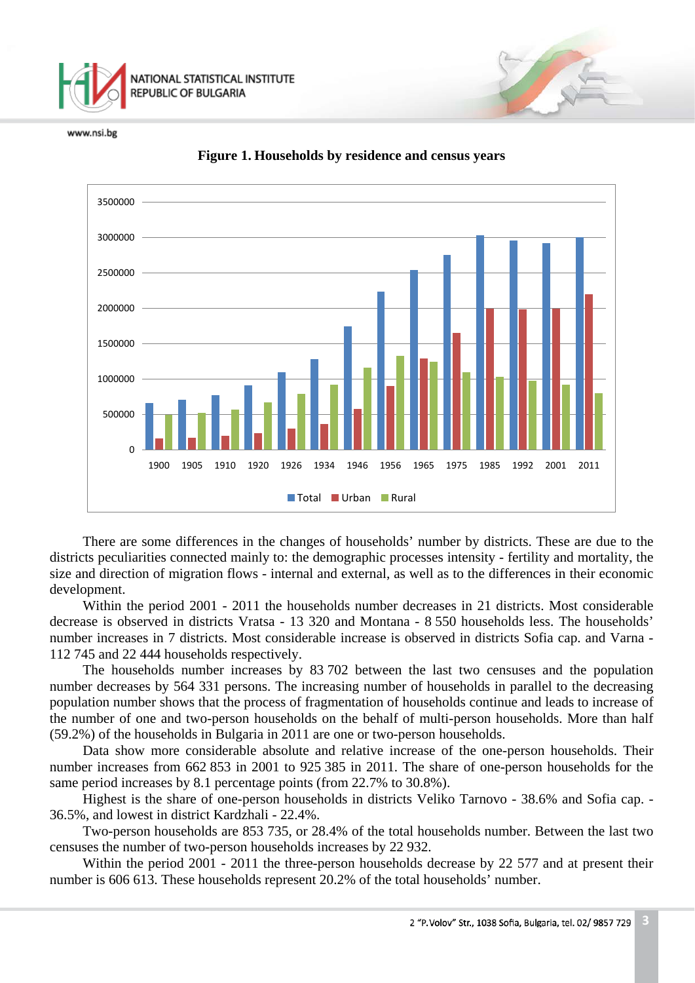



**Figure 1. Households by residence and census years**

There are some differences in the changes of households' number by districts. These are due to the districts peculiarities connected mainly to: the demographic processes intensity - fertility and mortality, the size and direction of migration flows - internal and external, as well as to the differences in their economic development.

Within the period 2001 - 2011 the households number decreases in 21 districts. Most considerable decrease is observed in districts Vratsa - 13 320 and Montana - 8 550 households less. The households' number increases in 7 districts. Most considerable increase is observed in districts Sofia cap. and Varna - 112 745 and 22 444 households respectively.

The households number increases by 83 702 between the last two censuses and the population number decreases by 564 331 persons. The increasing number of households in parallel to the decreasing population number shows that the process of fragmentation of households continue and leads to increase of the number of one and two-person households on the behalf of multi-person households. More than half (59.2%) of the households in Bulgaria in 2011 are one or two-person households.

Data show more considerable absolute and relative increase of the one-person households. Their number increases from 662 853 in 2001 to 925 385 in 2011. The share of one-person households for the same period increases by 8.1 percentage points (from 22.7% to 30.8%).

Highest is the share of one-person households in districts Veliko Tarnovo - 38.6% and Sofia cap. - 36.5%, and lowest in district Kardzhali - 22.4%.

Two-person households are 853 735, or 28.4% of the total households number. Between the last two censuses the number of two-person households increases by 22 932.

Within the period 2001 - 2011 the three-person households decrease by 22 577 and at present their number is 606 613. These households represent 20.2% of the total households' number.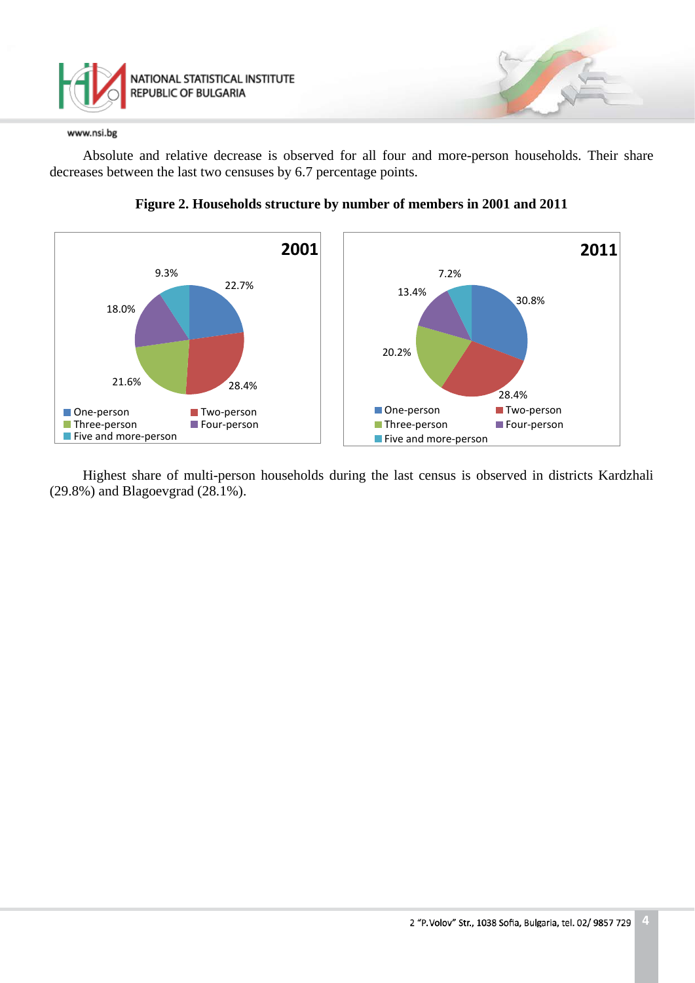

Absolute and relative decrease is observed for all four and more-person households. Their share decreases between the last two censuses by 6.7 percentage points.





Highest share of multi-person households during the last census is observed in districts Kardzhali (29.8%) and Blagoevgrad (28.1%).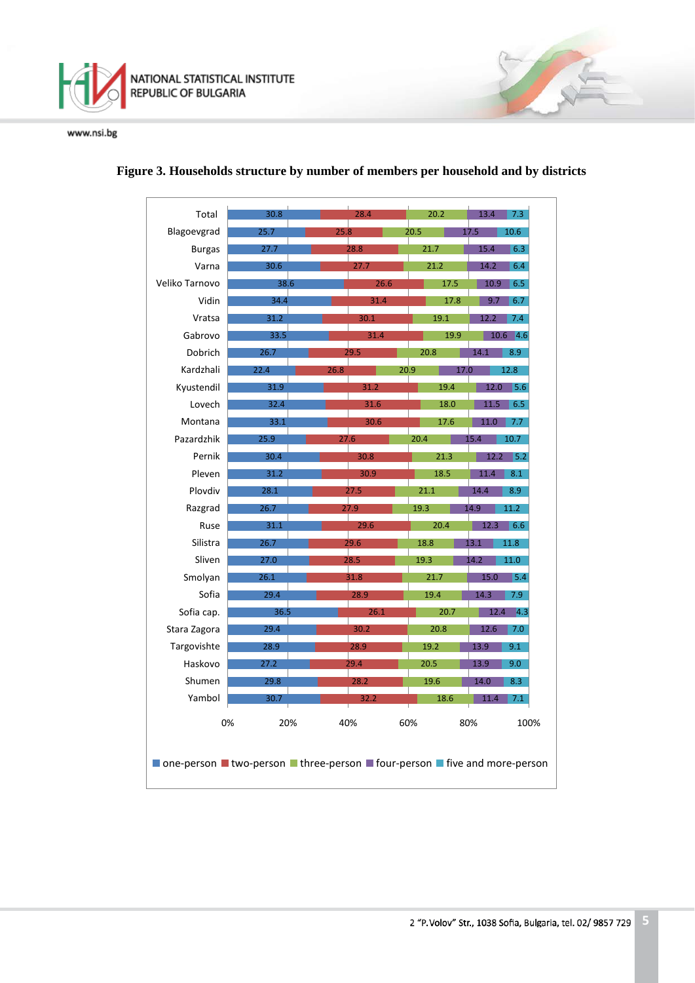

 $\Gamma$ 

| Total          | 30.8 |      | 28.4 | 20.2 |      | 13.4 | 7.3         |
|----------------|------|------|------|------|------|------|-------------|
| Blagoevgrad    | 25.7 | 25.8 |      | 20.5 |      | 17.5 | 10.6        |
| <b>Burgas</b>  | 27.7 |      | 28.8 | 21.7 |      | 15.4 | 6.3         |
| Varna          | 30.6 |      | 27.7 | 21.2 |      | 14.2 | 6.4         |
| Veliko Tarnovo | 38.6 |      | 26.6 |      | 17.5 | 10.9 | 6.5         |
| Vidin          | 34.4 |      | 31.4 |      | 17.8 | 9.7  | 6.7         |
| Vratsa         | 31.2 |      | 30.1 | 19.1 |      | 12.2 | 7.4         |
| Gabrovo        | 33.5 |      | 31.4 |      | 19.9 |      | 10.6<br>4.6 |
| Dobrich        | 26.7 |      | 29.5 | 20.8 |      | 14.1 | 8.9         |
| Kardzhali      | 22.4 | 26.8 |      | 20.9 | 17.0 |      | 12.8        |
| Kyustendil     | 31.9 |      | 31.2 |      | 19.4 | 12.0 | 5.6         |
| Lovech         | 32.4 |      | 31.6 |      | 18.0 | 11.5 | 6.5         |
| Montana        | 33.1 |      | 30.6 |      | 17.6 | 11.0 | 7.7         |
| Pazardzhik     | 25.9 |      | 27.6 | 20.4 |      | 15.4 | 10.7        |
| Pernik         | 30.4 |      | 30.8 |      | 21.3 | 12.2 | $\vert$ 5.2 |
| Pleven         | 31.2 |      | 30.9 | 18.5 |      | 11.4 | 8.1         |
| Plovdiv        | 28.1 |      | 27.5 | 21.1 |      | 14.4 | 8.9         |
| Razgrad        | 26.7 |      | 27.9 | 19.3 |      | 14.9 | 11.2        |
| Ruse           | 31.1 |      | 29.6 | 20.4 |      | 12.3 | 6.6         |
| Silistra       | 26.7 |      | 29.6 | 18.8 |      | 13.1 | 11.8        |
| Sliven         | 27.0 |      | 28.5 | 19.3 |      | 14.2 | 11.0        |
| Smolyan        | 26.1 |      | 31.8 | 21.7 |      | 15.0 | 5.4         |
| Sofia          | 29.4 |      | 28.9 | 19.4 |      | 14.3 | 7.9         |
| Sofia cap.     | 36.5 |      | 26.1 |      | 20.7 | 12.4 | 4.3         |
| Stara Zagora   | 29.4 |      | 30.2 | 20.8 |      | 12.6 | 7.0         |
| Targovishte    | 28.9 |      | 28.9 | 19.2 |      | 13.9 | 9.1         |
| Haskovo        | 27.2 |      | 29.4 | 20.5 |      | 13.9 | 9.0         |
| Shumen         | 29.8 |      | 28.2 | 19.6 |      | 14.0 | 8.3         |
| Yambol         | 30.7 |      | 32.2 |      | 18.6 | 11.4 | 7.1         |
| 0%             | 20%  |      | 40%  | 60%  | 80%  |      | 100%        |

# **Figure 3. Households structure by number of members per household and by districts**

Ø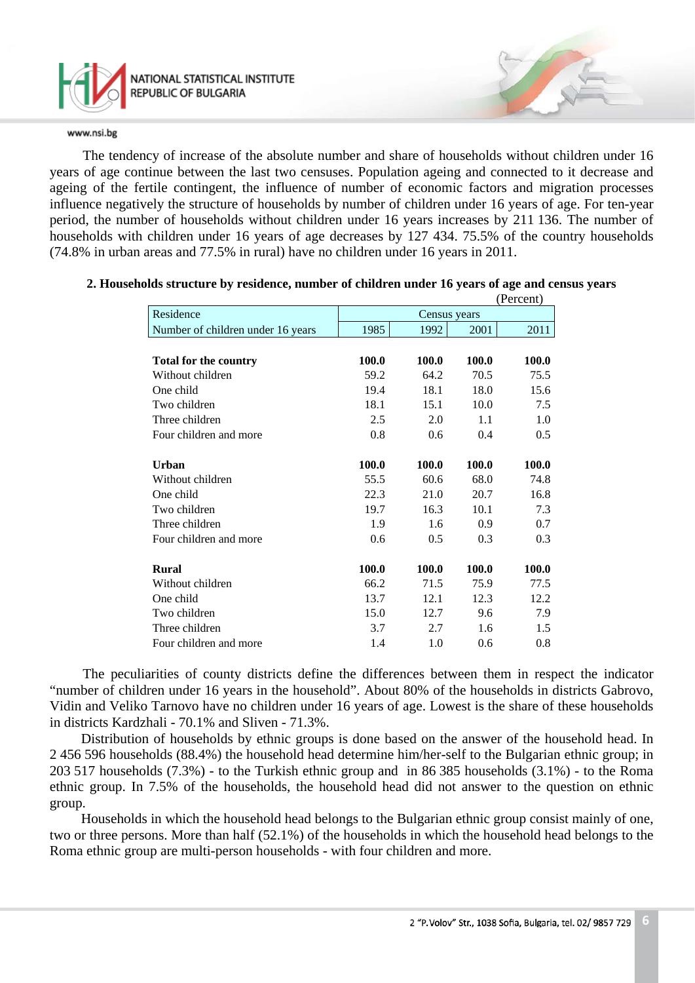

The tendency of increase of the absolute number and share of households without children under 16 years of age continue between the last two censuses. Population ageing and connected to it decrease and ageing of the fertile contingent, the influence of number of economic factors and migration processes influence negatively the structure of households by number of children under 16 years of age. For ten-year period, the number of households without children under 16 years increases by 211 136. The number of households with children under 16 years of age decreases by 127 434. 75.5% of the country households (74.8% in urban areas and 77.5% in rural) have no children under 16 years in 2011.

|                                   |              |       |       | (Percent)    |  |
|-----------------------------------|--------------|-------|-------|--------------|--|
| Residence                         | Census years |       |       |              |  |
| Number of children under 16 years | 1985         | 1992  | 2001  | 2011         |  |
|                                   |              |       |       |              |  |
| <b>Total for the country</b>      | 100.0        | 100.0 | 100.0 | <b>100.0</b> |  |
| Without children                  | 59.2         | 64.2  | 70.5  | 75.5         |  |
| One child                         | 19.4         | 18.1  | 18.0  | 15.6         |  |
| Two children                      | 18.1         | 15.1  | 10.0  | 7.5          |  |
| Three children                    | 2.5          | 2.0   | 1.1   | 1.0          |  |
| Four children and more            | 0.8          | 0.6   | 0.4   | 0.5          |  |
| Urban                             | 100.0        | 100.0 | 100.0 | 100.0        |  |
| Without children                  | 55.5         | 60.6  | 68.0  | 74.8         |  |
| One child                         | 22.3         | 21.0  | 20.7  | 16.8         |  |
| Two children                      | 19.7         | 16.3  | 10.1  | 7.3          |  |
| Three children                    | 1.9          | 1.6   | 0.9   | 0.7          |  |
| Four children and more            | 0.6          | 0.5   | 0.3   | 0.3          |  |
| <b>Rural</b>                      | 100.0        | 100.0 | 100.0 | 100.0        |  |
| Without children                  | 66.2         | 71.5  | 75.9  | 77.5         |  |
| One child                         | 13.7         | 12.1  | 12.3  | 12.2         |  |
| Two children                      | 15.0         | 12.7  | 9.6   | 7.9          |  |
| Three children                    | 3.7          | 2.7   | 1.6   | 1.5          |  |
| Four children and more            | 1.4          | 1.0   | 0.6   | 0.8          |  |

### **2. Households structure by residence, number of children under 16 years of age and census years**

The peculiarities of county districts define the differences between them in respect the indicator "number of children under 16 years in the household". About 80% of the households in districts Gabrovo, Vidin and Veliko Tarnovo have no children under 16 years of age. Lowest is the share of these households in districts Kardzhali - 70.1% and Sliven - 71.3%.

Distribution of households by ethnic groups is done based on the answer of the household head. In 2 456 596 households (88.4%) the household head determine him/her-self to the Bulgarian ethnic group; in 203 517 households (7.3%) - to the Turkish ethnic group and in 86 385 households (3.1%) - to the Roma ethnic group. In 7.5% of the households, the household head did not answer to the question on ethnic group.

Households in which the household head belongs to the Bulgarian ethnic group consist mainly of one, two or three persons. More than half (52.1%) of the households in which the household head belongs to the Roma ethnic group are multi-person households - with four children and more.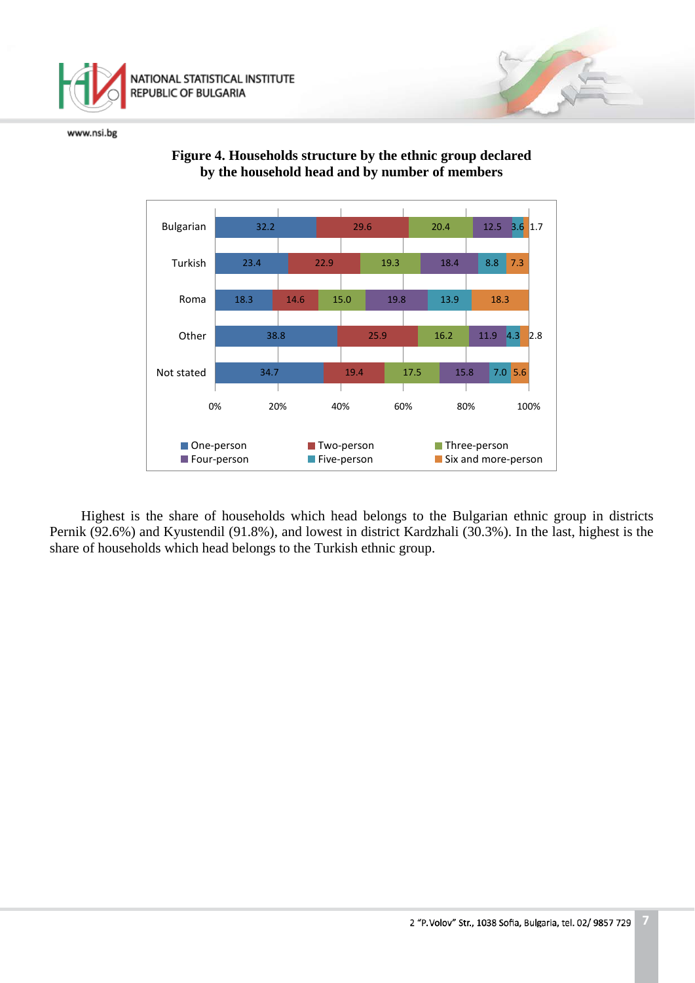



# **Figure 4. Households structure by the ethnic group declared by the household head and by number of members**

Highest is the share of households which head belongs to the Bulgarian ethnic group in districts Pernik (92.6%) and Kyustendil (91.8%), and lowest in district Kardzhali (30.3%). In the last, highest is the share of households which head belongs to the Turkish ethnic group.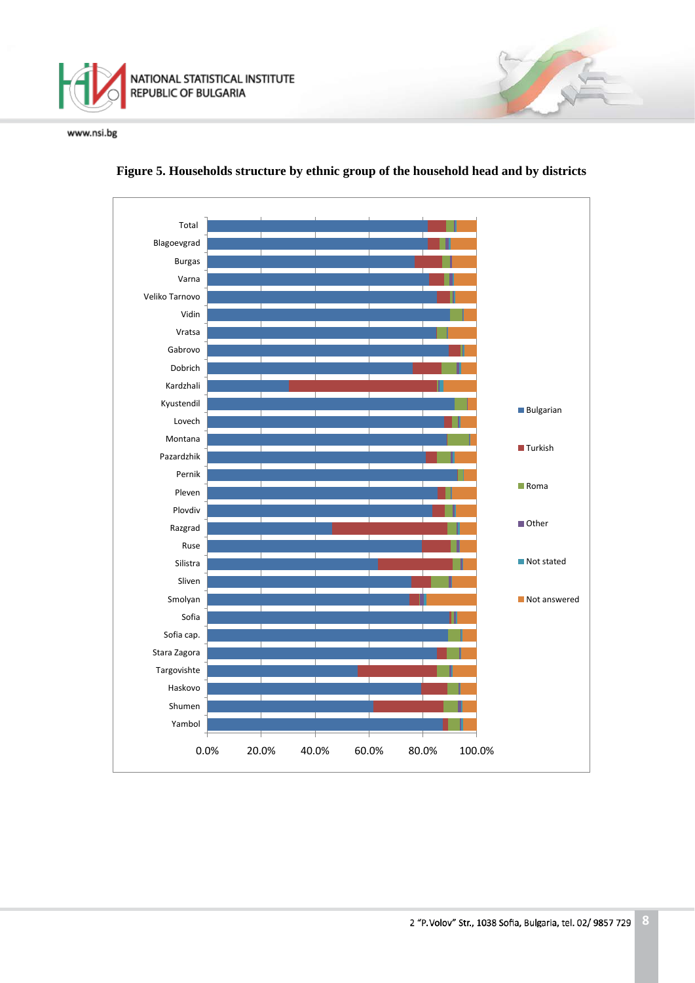



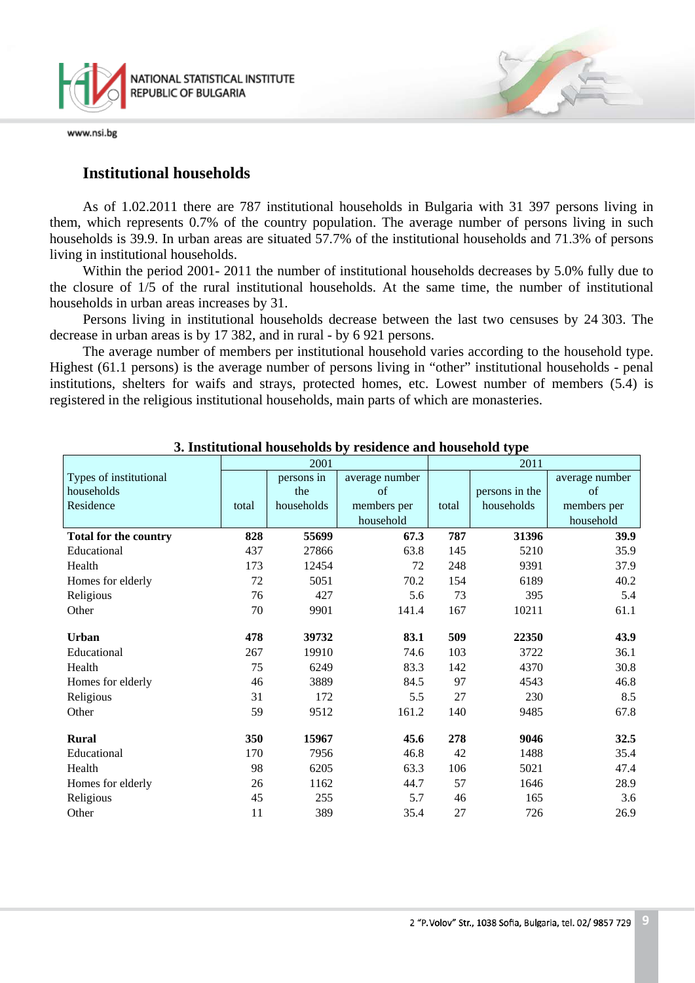

# **Institutional households**

As of 1.02.2011 there are 787 institutional households in Bulgaria with 31 397 persons living in them, which represents 0.7% of the country population. The average number of persons living in such households is 39.9. In urban areas are situated 57.7% of the institutional households and 71.3% of persons living in institutional households.

Within the period 2001- 2011 the number of institutional households decreases by 5.0% fully due to the closure of 1/5 of the rural institutional households. At the same time, the number of institutional households in urban areas increases by 31.

Persons living in institutional households decrease between the last two censuses by 24 303. The decrease in urban areas is by 17 382, and in rural - by 6 921 persons.

The average number of members per institutional household varies according to the household type. Highest (61.1 persons) is the average number of persons living in "other" institutional households - penal institutions, shelters for waifs and strays, protected homes, etc. Lowest number of members (5.4) is registered in the religious institutional households, main parts of which are monasteries.

|                              | 2001  |            |                | 2011  |                |                |
|------------------------------|-------|------------|----------------|-------|----------------|----------------|
| Types of institutional       |       | persons in | average number |       |                | average number |
| households                   |       | the        | of             |       | persons in the | of             |
| Residence                    | total | households | members per    | total | households     | members per    |
|                              |       |            | household      |       |                | household      |
| <b>Total for the country</b> | 828   | 55699      | 67.3           | 787   | 31396          | 39.9           |
| Educational                  | 437   | 27866      | 63.8           | 145   | 5210           | 35.9           |
| Health                       | 173   | 12454      | 72             | 248   | 9391           | 37.9           |
| Homes for elderly            | 72    | 5051       | 70.2           | 154   | 6189           | 40.2           |
| Religious                    | 76    | 427        | 5.6            | 73    | 395            | 5.4            |
| Other                        | 70    | 9901       | 141.4          | 167   | 10211          | 61.1           |
| <b>Urban</b>                 | 478   | 39732      | 83.1           | 509   | 22350          | 43.9           |
| Educational                  | 267   | 19910      | 74.6           | 103   | 3722           | 36.1           |
| Health                       | 75    | 6249       | 83.3           | 142   | 4370           | 30.8           |
| Homes for elderly            | 46    | 3889       | 84.5           | 97    | 4543           | 46.8           |
| Religious                    | 31    | 172        | 5.5            | 27    | 230            | 8.5            |
| Other                        | 59    | 9512       | 161.2          | 140   | 9485           | 67.8           |
| <b>Rural</b>                 | 350   | 15967      | 45.6           | 278   | 9046           | 32.5           |
| Educational                  | 170   | 7956       | 46.8           | 42    | 1488           | 35.4           |
| Health                       | 98    | 6205       | 63.3           | 106   | 5021           | 47.4           |
| Homes for elderly            | 26    | 1162       | 44.7           | 57    | 1646           | 28.9           |
| Religious                    | 45    | 255        | 5.7            | 46    | 165            | 3.6            |
| Other                        | 11    | 389        | 35.4           | 27    | 726            | 26.9           |

**3. Institutional households by residence and household type**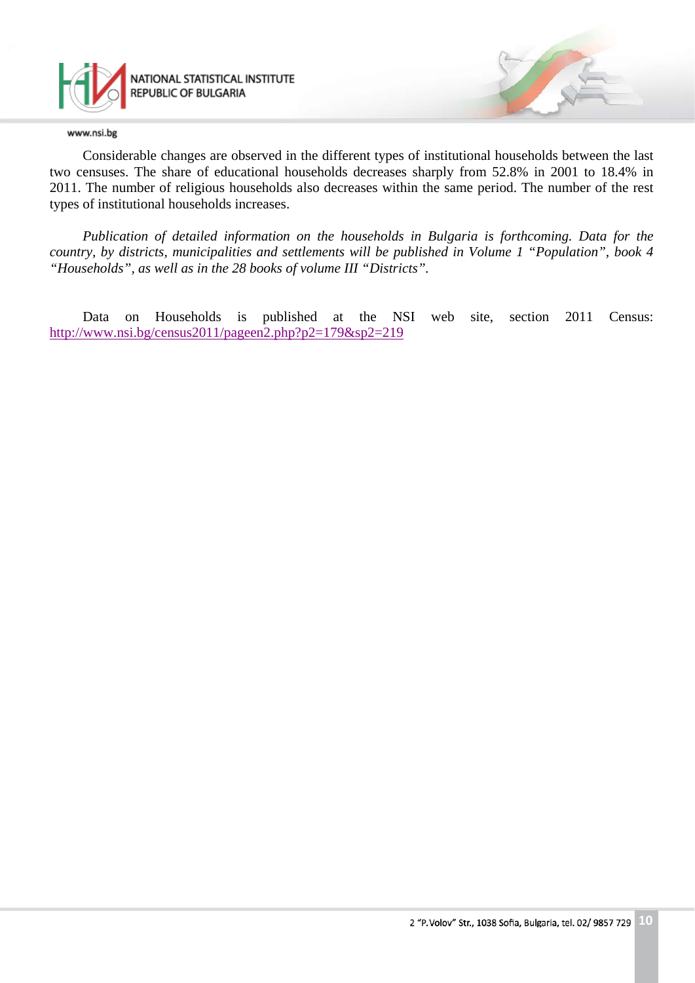

Considerable changes are observed in the different types of institutional households between the last two censuses. The share of educational households decreases sharply from 52.8% in 2001 to 18.4% in 2011. The number of religious households also decreases within the same period. The number of the rest types of institutional households increases.

*Publication of detailed information on the households in Bulgaria is forthcoming. Data for the country, by districts, municipalities and settlements will be published in Volume 1 "Population", book 4 "Households", as well as in the 28 books of volume III "Districts".* 

Data on Households is published at the NSI web site, section 2011 Census: <http://www.nsi.bg/census2011/pageen2.php?p2=179&sp2=219>